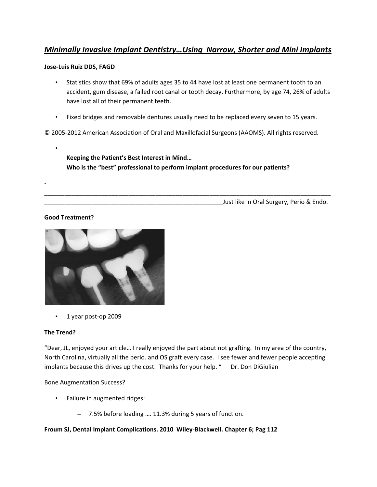# *Minimally Invasive Implant Dentistry…Using Narrow, Shorter and Mini Implants*

### **Jose‐Luis Ruiz DDS, FAGD**

- Statistics show that 69% of adults ages 35 to 44 have lost at least one permanent tooth to an accident, gum disease, a failed root canal or tooth decay. Furthermore, by age 74, 26% of adults have lost all of their permanent teeth.
- Fixed bridges and removable dentures usually need to be replaced every seven to 15 years.

\_\_\_\_\_\_\_\_\_\_\_\_\_\_\_\_\_\_\_\_\_\_\_\_\_\_\_\_\_\_\_\_\_\_\_\_\_\_\_\_\_\_\_\_\_\_\_\_\_\_\_\_\_\_\_\_\_\_\_\_\_\_\_\_\_\_\_\_\_\_\_\_\_\_\_\_\_\_\_\_\_\_\_\_\_

© 2005‐2012 American Association of Oral and Maxillofacial Surgeons (AAOMS). All rights reserved.

**Keeping the Patient's Best Interest in Mind… Who is the "best" professional to perform implant procedures for our patients?** 

\_\_\_\_\_\_\_\_\_\_\_\_\_\_\_\_\_\_\_\_\_\_\_\_\_\_\_\_\_\_\_\_\_\_\_\_\_\_\_\_\_\_\_\_\_\_\_\_\_\_\_\_\_Just like in Oral Surgery, Perio & Endo.

## **Good Treatment?**

•

‐



• 1 year post-op 2009

## **The Trend?**

"Dear, JL, enjoyed your article… I really enjoyed the part about not grafting. In my area of the country, North Carolina, virtually all the perio. and OS graft every case. I see fewer and fewer people accepting implants because this drives up the cost. Thanks for your help. " Dr. Don DiGiulian

Bone Augmentation Success?

- Failure in augmented ridges:
	- 7.5% before loading …. 11.3% during 5 years of function.

## **Froum SJ, Dental Implant Complications. 2010 Wiley‐Blackwell. Chapter 6; Pag 112**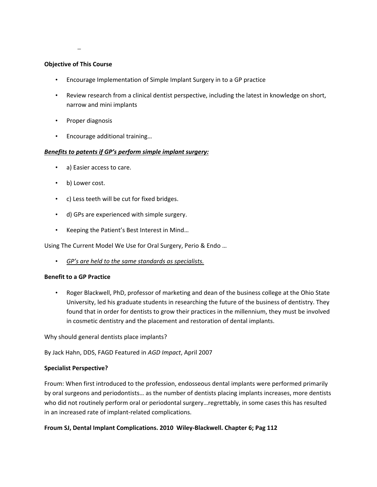–

## **Objective of This Course**

- Encourage Implementation of Simple Implant Surgery in to a GP practice
- Review research from a clinical dentist perspective, including the latest in knowledge on short, narrow and mini implants
- Proper diagnosis
- Encourage additional training…

## *Benefits to patents if GP's perform simple implant surgery:*

- a) Easier access to care.
- b) Lower cost.
- c) Less teeth will be cut for fixed bridges.
- d) GPs are experienced with simple surgery.
- Keeping the Patient's Best Interest in Mind…

Using The Current Model We Use for Oral Surgery, Perio & Endo …

• *GP's are held to the same standards as specialists.*

## **Benefit to a GP Practice**

• Roger Blackwell, PhD, professor of marketing and dean of the business college at the Ohio State University, led his graduate students in researching the future of the business of dentistry. They found that in order for dentists to grow their practices in the millennium, they must be involved in cosmetic dentistry and the placement and restoration of dental implants.

Why should general dentists place implants?

By Jack Hahn, DDS, FAGD Featured in *AGD Impact*, April 2007

## **Specialist Perspective?**

Froum: When first introduced to the profession, endosseous dental implants were performed primarily by oral surgeons and periodontists… as the number of dentists placing implants increases, more dentists who did not routinely perform oral or periodontal surgery…regrettably, in some cases this has resulted in an increased rate of implant‐related complications.

## **Froum SJ, Dental Implant Complications. 2010 Wiley‐Blackwell. Chapter 6; Pag 112**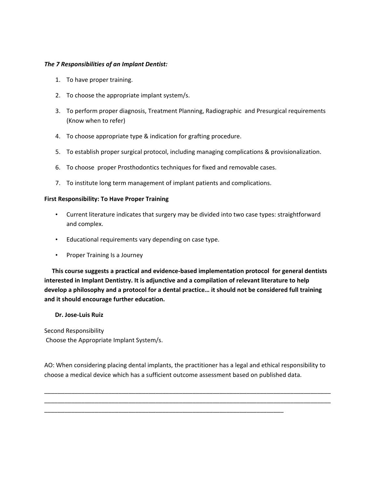### *The 7 Responsibilities of an Implant Dentist:*

- 1. To have proper training.
- 2. To choose the appropriate implant system/s.
- 3. To perform proper diagnosis, Treatment Planning, Radiographic and Presurgical requirements (Know when to refer)
- 4. To choose appropriate type & indication for grafting procedure.
- 5. To establish proper surgical protocol, including managing complications & provisionalization.
- 6. To choose proper Prosthodontics techniques for fixed and removable cases.
- 7. To institute long term management of implant patients and complications.

#### **First Responsibility: To Have Proper Training**

- Current literature indicates that surgery may be divided into two case types: straightforward and complex.
- Educational requirements vary depending on case type.
- Proper Training Is a Journey

 **This course suggests a practical and evidence‐based implementation protocol for general dentists interested in Implant Dentistry. It is adjunctive and a compilation of relevant literature to help develop a philosophy and a protocol for a dental practice… it should not be considered full training and it should encourage further education.**

#### **Dr. Jose‐Luis Ruiz**

Second Responsibility Choose the Appropriate Implant System/s.

AO: When considering placing dental implants, the practitioner has a legal and ethical responsibility to choose a medical device which has a sufficient outcome assessment based on published data.

\_\_\_\_\_\_\_\_\_\_\_\_\_\_\_\_\_\_\_\_\_\_\_\_\_\_\_\_\_\_\_\_\_\_\_\_\_\_\_\_\_\_\_\_\_\_\_\_\_\_\_\_\_\_\_\_\_\_\_\_\_\_\_\_\_\_\_\_\_\_\_\_\_\_\_\_\_\_\_\_\_\_\_\_\_ \_\_\_\_\_\_\_\_\_\_\_\_\_\_\_\_\_\_\_\_\_\_\_\_\_\_\_\_\_\_\_\_\_\_\_\_\_\_\_\_\_\_\_\_\_\_\_\_\_\_\_\_\_\_\_\_\_\_\_\_\_\_\_\_\_\_\_\_\_\_\_\_\_\_\_\_\_\_\_\_\_\_\_\_\_

\_\_\_\_\_\_\_\_\_\_\_\_\_\_\_\_\_\_\_\_\_\_\_\_\_\_\_\_\_\_\_\_\_\_\_\_\_\_\_\_\_\_\_\_\_\_\_\_\_\_\_\_\_\_\_\_\_\_\_\_\_\_\_\_\_\_\_\_\_\_\_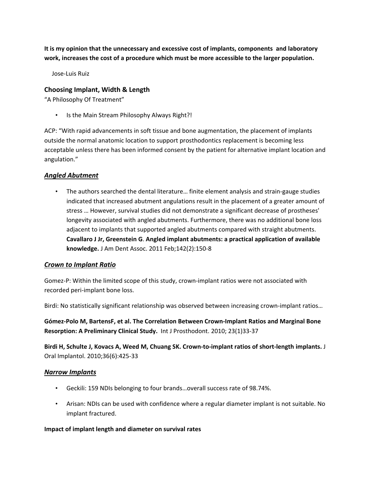**It is my opinion that the unnecessary and excessive cost of implants, components and laboratory work, increases the cost of a procedure which must be more accessible to the larger population.** 

Jose‐Luis Ruiz

# **Choosing Implant, Width & Length**

"A Philosophy Of Treatment"

• Is the Main Stream Philosophy Always Right?!

ACP: "With rapid advancements in soft tissue and bone augmentation, the placement of implants outside the normal anatomic location to support prosthodontics replacement is becoming less acceptable unless there has been informed consent by the patient for alternative implant location and angulation."

# *Angled Abutment*

• The authors searched the dental literature... finite element analysis and strain-gauge studies indicated that increased abutment angulations result in the placement of a greater amount of stress … However, survival studies did not demonstrate a significant decrease of prostheses' longevity associated with angled abutments. Furthermore, there was no additional bone loss adjacent to implants that supported angled abutments compared with straight abutments. **Cavallaro J Jr, Greenstein G**. **Angled implant abutments: a practical application of available knowledge.** J Am Dent Assoc. 2011 Feb;142(2):150‐8

# *Crown to Implant Ratio*

Gomez-P: Within the limited scope of this study, crown-implant ratios were not associated with recorded peri‐implant bone loss.

Birdi: No statistically significant relationship was observed between increasing crown-implant ratios...

**Gómez‐Polo M, BartensF, et al. The Correlation Between Crown‐Implant Ratios and Marginal Bone Resorption: A Preliminary Clinical Study.** Int J Prosthodont. 2010; 23(1)33‐37

Birdi H, Schulte J, Kovacs A, Weed M, Chuang SK. Crown-to-implant ratios of short-length implants. J Oral Implantol. 2010;36(6):425‐33

# *Narrow Implants*

- Geckili: 159 NDIs belonging to four brands…overall success rate of 98.74%.
- Arisan: NDIs can be used with confidence where a regular diameter implant is not suitable. No implant fractured.

## **Impact of implant length and diameter on survival rates**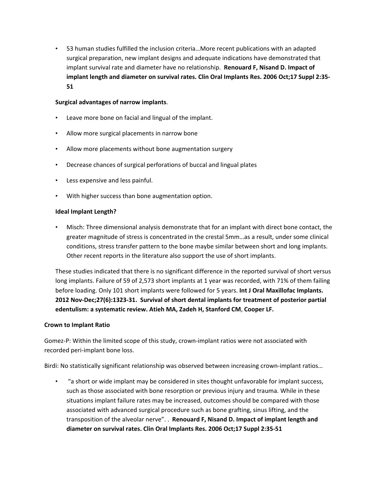• 53 human studies fulfilled the inclusion criteria…More recent publications with an adapted surgical preparation, new implant designs and adequate indications have demonstrated that implant survival rate and diameter have no relationship. **Renouard F, Nisand D. Impact of implant length and diameter on survival rates. Clin Oral Implants Res. 2006 Oct;17 Suppl 2:35‐ 51**

## **Surgical advantages of narrow implants**.

- Leave more bone on facial and lingual of the implant.
- Allow more surgical placements in narrow bone
- Allow more placements without bone augmentation surgery
- Decrease chances of surgical perforations of buccal and lingual plates
- Less expensive and less painful.
- With higher success than bone augmentation option.

## **Ideal Implant Length?**

• Misch: Three dimensional analysis demonstrate that for an implant with direct bone contact, the greater magnitude of stress is concentrated in the crestal 5mm…as a result, under some clinical conditions, stress transfer pattern to the bone maybe similar between short and long implants. Other recent reports in the literature also support the use of short implants.

These studies indicated that there is no significant difference in the reported survival of short versus long implants. Failure of 59 of 2,573 short implants at 1 year was recorded, with 71% of them failing before loading. Only 101 short implants were followed for 5 years. **Int J Oral Maxillofac Implants. 2012 Nov‐Dec;27(6):1323‐31. Survival of short dental implants for treatment of posterior partial edentulism: a systematic review. Atieh MA, Zadeh H, Stanford CM**, **Cooper LF.**

#### **Crown to Implant Ratio**

Gomez‐P: Within the limited scope of this study, crown‐implant ratios were not associated with recorded peri‐implant bone loss.

Birdi: No statistically significant relationship was observed between increasing crown-implant ratios...

• "a short or wide implant may be considered in sites thought unfavorable for implant success, such as those associated with bone resorption or previous injury and trauma. While in these situations implant failure rates may be increased, outcomes should be compared with those associated with advanced surgical procedure such as bone grafting, sinus lifting, and the transposition of the alveolar nerve". . **Renouard F, Nisand D. Impact of implant length and diameter on survival rates. Clin Oral Implants Res. 2006 Oct;17 Suppl 2:35‐51**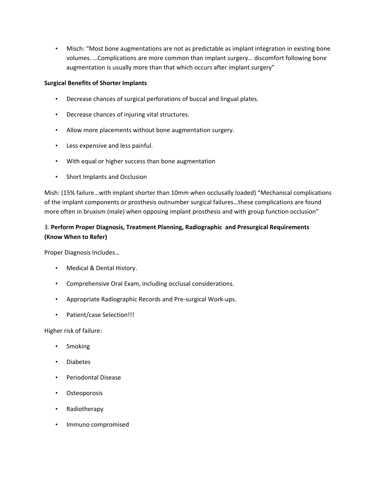• Misch: "Most bone augmentations are not as predictable as implant integration in existing bone volumes. …Complications are more common than implant surgery… discomfort following bone augmentation is usually more than that which occurs after implant surgery"

# **Surgical Benefits of Shorter Implants**

- Decrease chances of surgical perforations of buccal and lingual plates.
- Decrease chances of injuring vital structures.
- Allow more placements without bone augmentation surgery.
- Less expensive and less painful.
- With equal or higher success than bone augmentation
- Short Implants and Occlusion

Mish: (15% failure…with implant shorter than 10mm when occlusally loaded) "Mechanical complications of the implant components or prosthesis outnumber surgical failures…these complications are found more often in bruxism (male) when opposing implant prosthesis and with group function occlusion"

# 3. **Perform Proper Diagnosis, Treatment Planning, Radiographic and Presurgical Requirements (Know When to Refer)**

Proper Diagnosis Includes…

- Medical & Dental History.
- Comprehensive Oral Exam, including occlusal considerations.
- Appropriate Radiographic Records and Pre‐surgical Work‐ups.
- Patient/case Selection!!!

Higher risk of failure:

- Smoking
- Diabetes
- Periodontal Disease
- Osteoporosis
- Radiotherapy
- Immuno compromised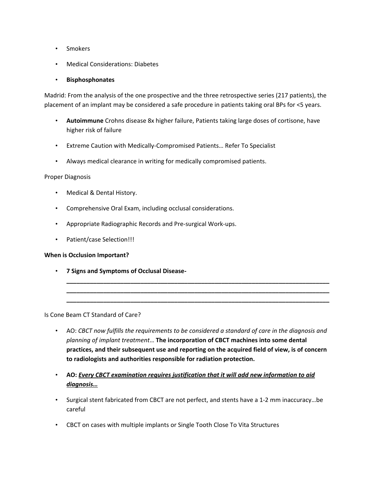- Smokers
- Medical Considerations: Diabetes

## • **Bisphosphonates**

Madrid: From the analysis of the one prospective and the three retrospective series (217 patients), the placement of an implant may be considered a safe procedure in patients taking oral BPs for <5 years.

- **Autoimmune** Crohns disease 8x higher failure, Patients taking large doses of cortisone, have higher risk of failure
- Extreme Caution with Medically‐Compromised Patients… Refer To Specialist
- Always medical clearance in writing for medically compromised patients.

### Proper Diagnosis

- Medical & Dental History.
- Comprehensive Oral Exam, including occlusal considerations.
- Appropriate Radiographic Records and Pre‐surgical Work‐ups.
- Patient/case Selection!!!

## **When is Occlusion Important?**

• **7 Signs and Symptoms of Occlusal Disease‐**

Is Cone Beam CT Standard of Care?

• AO: *CBCT now fulfills the requirements to be considered a standard of care in the diagnosis and planning of implant treatment*… **The incorporation of CBCT machines into some dental practices, and their subsequent use and reporting on the acquired field of view, is of concern to radiologists and authorities responsible for radiation protection.** 

**\_\_\_\_\_\_\_\_\_\_\_\_\_\_\_\_\_\_\_\_\_\_\_\_\_\_\_\_\_\_\_\_\_\_\_\_\_\_\_\_\_\_\_\_\_\_\_\_\_\_\_\_\_\_\_\_\_\_\_\_\_\_\_\_\_\_\_\_\_\_\_\_\_\_\_\_\_\_ \_\_\_\_\_\_\_\_\_\_\_\_\_\_\_\_\_\_\_\_\_\_\_\_\_\_\_\_\_\_\_\_\_\_\_\_\_\_\_\_\_\_\_\_\_\_\_\_\_\_\_\_\_\_\_\_\_\_\_\_\_\_\_\_\_\_\_\_\_\_\_\_\_\_\_\_\_\_ \_\_\_\_\_\_\_\_\_\_\_\_\_\_\_\_\_\_\_\_\_\_\_\_\_\_\_\_\_\_\_\_\_\_\_\_\_\_\_\_\_\_\_\_\_\_\_\_\_\_\_\_\_\_\_\_\_\_\_\_\_\_\_\_\_\_\_\_\_\_\_\_\_\_\_\_\_\_**

- **AO:** *Every CBCT examination requires justification that it will add new information to aid diagnosis…*
- Surgical stent fabricated from CBCT are not perfect, and stents have a 1‐2 mm inaccuracy…be careful
- CBCT on cases with multiple implants or Single Tooth Close To Vita Structures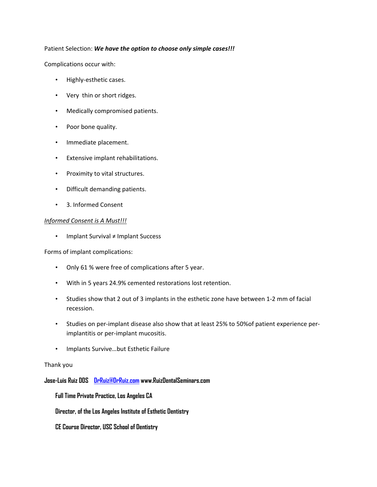### Patient Selection: *We have the option to choose only simple cases!!!*

Complications occur with:

- Highly-esthetic cases.
- Very thin or short ridges.
- Medically compromised patients.
- Poor bone quality.
- Immediate placement.
- Extensive implant rehabilitations.
- Proximity to vital structures.
- Difficult demanding patients.
- 3. Informed Consent

### *Informed Consent is A Must!!!*

• Implant Survival ≠ Implant Success

Forms of implant complications:

- Only 61 % were free of complications after 5 year.
- With in 5 years 24.9% cemented restorations lost retention.
- Studies show that 2 out of 3 implants in the esthetic zone have between 1-2 mm of facial recession.
- Studies on per-implant disease also show that at least 25% to 50% of patient experience perimplantitis or per‐implant mucositis.
- Implants Survive…but Esthetic Failure

#### Thank you

**Jose-Luis Ruiz DDS DrRuiz@DrRuiz.com www.RuizDentalSeminars.com** 

**Full Time Private Practice, Los Angeles CA** 

**Director, of the Los Angeles Institute of Esthetic Dentistry** 

**CE Course Director, USC School of Dentistry**